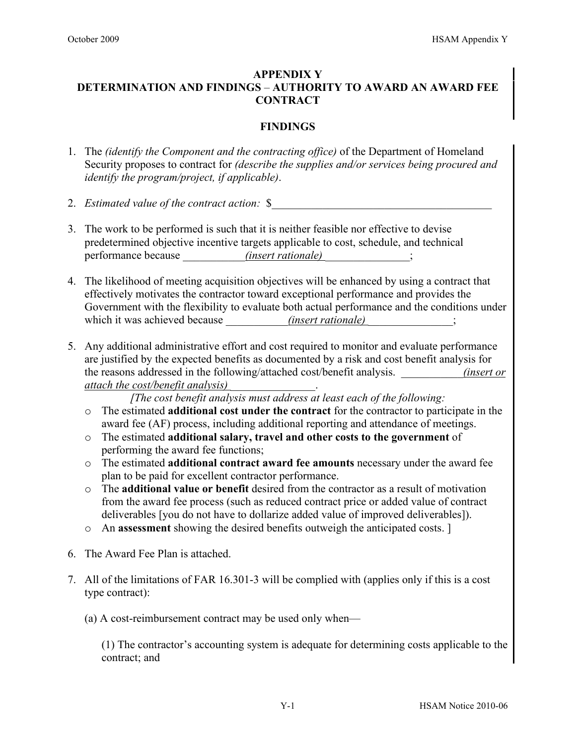## **APPENDIX Y DETERMINATION AND FINDINGS** – **AUTHORITY TO AWARD AN AWARD FEE CONTRACT**

## **FINDINGS**

- 1. The *(identify the Component and the contracting office)* of the Department of Homeland Security proposes to contract for *(describe the supplies and/or services being procured and identify the program/project, if applicable)*.
- 2. *Estimated value of the contract action:* \$*\_\_\_\_\_\_\_\_\_\_\_\_\_\_\_\_\_\_\_\_\_\_\_\_\_\_\_\_\_\_\_\_\_\_\_\_\_\_\_*
- 3. The work to be performed is such that it is neither feasible nor effective to devise predetermined objective incentive targets applicable to cost, schedule, and technical performance because  $\qquad \qquad (insert \; rationale)$  ;
- 4. The likelihood of meeting acquisition objectives will be enhanced by using a contract that effectively motivates the contractor toward exceptional performance and provides the Government with the flexibility to evaluate both actual performance and the conditions under which it was achieved because <u>*\_\_\_\_\_\_\_\_\_\_\_\_\_\_(insert rationale)*</u> ;
- 5. Any additional administrative effort and cost required to monitor and evaluate performance are justified by the expected benefits as documented by a risk and cost benefit analysis for the reasons addressed in the following/attached cost/benefit analysis. \_\_\_\_\_\_\_\_\_\_\_*(insert or attach the cost/benefit analysis)* \_\_\_\_\_\_\_\_\_\_\_\_\_\_\_.

*[The cost benefit analysis must address at least each of the following:* 

- o The estimated **additional cost under the contract** for the contractor to participate in the award fee (AF) process, including additional reporting and attendance of meetings.
- o The estimated **additional salary, travel and other costs to the government** of performing the award fee functions;
- o The estimated **additional contract award fee amounts** necessary under the award fee plan to be paid for excellent contractor performance.
- o The **additional value or benefit** desired from the contractor as a result of motivation from the award fee process (such as reduced contract price or added value of contract deliverables [you do not have to dollarize added value of improved deliverables]).
- o An **assessment** showing the desired benefits outweigh the anticipated costs. ]
- 6. The Award Fee Plan is attached.
- 7. All of the limitations of FAR 16.301-3 will be complied with (applies only if this is a cost type contract):
	- (a) A cost-reimbursement contract may be used only when—

(1) The contractor's accounting system is adequate for determining costs applicable to the contract; and